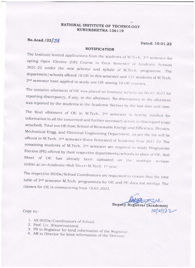## NATIONAL INSTITUTE OF TECHNOLOGY KURUKSHETRA- I36I I9

## No.Acad./22/38 Dated: 10.01.22

## NOTIFICATION

The Institute invited applications from the students of M.Tech. 2<sup>nd</sup> semester for<br>opting Open Elective (OE) Course in Even Semester of Academic Session<br>2021-22 under the new scheme and syllabi of M.Tech. programme. The department/schools offered 10 OE in this semester and 121 students of M.Tech. 2<sup>nd</sup> semester have applied to study one OE among 10 OE courses.

The tentative allotment of OE was placed on Institute website on 06.01.2022 for reporting discrepancy, if any, in the allotment. No discrepancy in the allotment was reported by the students in the Academic Section by the last date and time.

The final allotment of OE in M.Tech. 2<sup>nd</sup> semester is hereby notified for information to all the concerned and further necessary action in this regard (copy attached). Total ten OE from School of Renewable Energy and Effi offered in M.Tech. 2<sup>nd</sup> semester (Even Semester) of Academic Year 2021-22. The remaining students of M.Tech. 2<sup>nd</sup> semester arc required to study Programme Elective (PE) offered by their respective departments/schools in place of OE. Roll<br>Sheet of OE has already been uploaded on the institute website nitkkr.ac.in>Academic>Roll Sheet>M.Tech. 1st year.

The respective HODs/School Coordinators are requested to ensure that the time table of 2<sup>nd</sup> semester M.Tech. programmes for OE and PE does not overlap. The classes for OE is commencing from 10.01.2022.

Deputy Registrar (Academic)  $1000122$ 

Copy to:-

- 1. All HODs/Coordinators of School.
- 2. Prof. I/c. (Examinations)
- 3. PS to Registrar for kind information of the Registrar<br>4. AR to Director for kind information of the Director
- 4. AR to Director for kind information of the Director.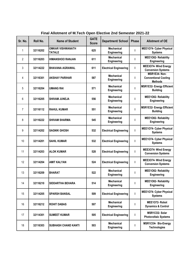| Sr. No. | Roll No. | <b>Name of Student</b>                   | <b>GATE</b><br><b>Score</b> | Department/ School                      | <b>Phase</b> | <b>Allotment of OE</b>                                         |
|---------|----------|------------------------------------------|-----------------------------|-----------------------------------------|--------------|----------------------------------------------------------------|
| 1       | 32116202 | <b>OMKAR VISHWANATH</b><br><b>TATALE</b> | 625                         | <b>Mechanical</b><br><b>Engineering</b> | L            | <b>MEE1O74- Cyber Physical</b><br><b>Systems</b>               |
| 2       | 32116203 | <b>HIMANSHOO RANJAN</b>                  | 611                         | <b>Mechanical</b><br>Engineering        | т            | MEE1O82- Reliability<br>Engineering                            |
| 3       | 32114222 | <b>BHAVANA AGRAWAL</b>                   | 611                         | <b>Electrical Engineering</b>           | I            | MEE3O74- Wind Energy<br><b>Conversion Systems</b>              |
| 4       | 32116301 | <b>AKSHAY PARIHAR</b>                    | 587                         | <b>Mechanical</b><br>Engineering        | I            | MSR1E34- Non-<br><b>Conventional Cooling</b><br><b>Methods</b> |
| 5       | 32116204 | <b>UMANG RAI</b>                         | 571                         | <b>Mechanical</b><br>Engineering        | I            | <b>MSR1E32- Energy Efficient</b><br><b>Building</b>            |
| 6       | 32116205 | <b>SHIVAM JUNEJA</b>                     | 556                         | <b>Mechanical</b><br><b>Engineering</b> | I            | MEE1O82- Reliability<br>Engineering                            |
| 7       | 32116112 | <b>RAHUL KUMAR</b>                       | 551                         | <b>Mechanical</b><br>Engineering        | ı            | <b>MSR1E32- Energy Efficient</b><br><b>Building</b>            |
| 8       | 32116222 | <b>SHIVAM SHARMA</b>                     | 545                         | <b>Mechanical</b><br>Engineering        | I            | MEE1O82- Reliability<br>Engineering                            |
| 9       | 32114202 | <b>SAGNIK GHOSH</b>                      | 532                         | <b>Electrical Engineering</b>           | $\mathbf{I}$ | <b>MEE1O74- Cyber Physical</b><br><b>Systems</b>               |
| 10      | 32114201 | <b>SAHIL KUMAR</b>                       | 532                         | <b>Electrical Engineering</b>           | I            | <b>MEE1O74- Cyber Physical</b><br><b>Systems</b>               |
| 11      | 32114203 | <b>ALOK KUMAR</b>                        | 528                         | <b>Electrical Engineering</b>           | т            | MEE3O74- Wind Energy<br><b>Conversion Systems</b>              |
| 12      | 32114204 | <b>AMIT KALYAN</b>                       | 524                         | <b>Electrical Engineering</b>           | L            | MEE3O74- Wind Energy<br><b>Conversion Systems</b>              |
| 13      | 32116209 | <b>BHARAT</b>                            | 522                         | <b>Mechanical</b><br>Engineering        | I            | MEE1O82- Reliability<br>Engineering                            |
| 14      | 32116210 | <b>SIDDARTHA BEHARA</b>                  | 514                         | <b>Mechanical</b><br>Engineering        | ı            | MEE1O82- Reliability<br>Engineering                            |
| 15      | 32114205 | <b>SPARSH BANSAL</b>                     | 509                         | <b>Electrical Engineering</b>           | L            | <b>MEE1O74- Cyber Physical</b><br><b>Systems</b>               |
| 16      | 32116212 | <b>ROHIT DABAS</b>                       | 507                         | <b>Mechanical</b><br>Engineering        | I            | MEE1072- Robot<br><b>Dynamics &amp; Control</b>                |
| 17      | 32114301 | <b>SUMEET KUMAR</b>                      | 505                         | <b>Electrical Engineering</b>           | т            | <b>MSR1CO2-Solar</b><br><b>Photovoltaic Systems</b>            |
| 18      | 32116303 | <b>SUBHASH CHAND KANTI</b>               | 503                         | <b>Mechanical</b><br>Engineering        | I            | MSR1CO4- Bio-Energy<br><b>Technologies</b>                     |

**Final Allotment of M.Tech Open Elective 2nd Semester 2021-22**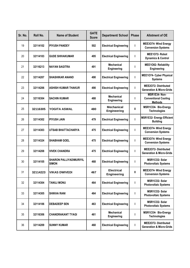| Sr. No. | Roll No. | <b>Name of Student</b>                         | <b>GATE</b><br><b>Score</b> | Department/ School               | <b>Phase</b> | <b>Allotment of OE</b>                                             |
|---------|----------|------------------------------------------------|-----------------------------|----------------------------------|--------------|--------------------------------------------------------------------|
| 19      | 32114102 | <b>PIYUSH PANDEY</b>                           | 502                         | <b>Electrical Engineering</b>    | $\mathbf{I}$ | <b>MEE3O74- Wind Energy</b><br><b>Conversion Systems</b>           |
| 20      | 32114103 | <b>GUDE SHIVAKUMAR</b>                         | 495                         | <b>Electrical Engineering</b>    | $\mathbf{I}$ | MEE1072- Robot<br><b>Dynamics &amp; Control</b>                    |
| 21      | 32116213 | <b>NAYAN SAGITRA</b>                           | 491                         | <b>Mechanical</b><br>Engineering | $\mathbf{I}$ | MEE1O82- Reliability<br>Engineering                                |
| 22      | 32114207 | <b>SHASHIKAR ANAND</b>                         | 490                         | <b>Electrical Engineering</b>    | $\mathbf{I}$ | MEE1074- Cyber Physical<br><b>Systems</b>                          |
| 23      | 32114206 | <b>ASHISH KUMAR THAKUR</b>                     | 490                         | <b>Electrical Engineering</b>    | $\mathbf{I}$ | <b>MEE2O72- Distributed</b><br><b>Generation &amp; Micro-Grids</b> |
| 24      | 32116304 | <b>SACHIN KUMAR</b>                            | 488                         | <b>Mechanical</b><br>Engineering | $\mathbf{I}$ | MSR1E34- Non-<br><b>Conventional Cooling</b><br><b>Methods</b>     |
| 25      | 32116305 | <b>YOGITA ASWAL</b>                            | 480                         | <b>Mechanical</b><br>Engineering | Ш            | MSR1CO4- Bio-Energy<br><b>Technologies</b>                         |
| 26      | 32114302 | <b>PIYUSH JAIN</b>                             | 479                         | <b>Electrical Engineering</b>    | $\mathbf{I}$ | <b>MSR1E32- Energy Efficient</b><br><b>Building</b>                |
| 27      | 32114303 | UTSAB BHATTACHARYA                             | 475                         | <b>Electrical Engineering</b>    | $\mathbf{I}$ | <b>MEE3O74- Wind Energy</b><br><b>Conversion Systems</b>           |
| 28      | 32114324 | <b>SHABHAM GOEL</b>                            | 475                         | <b>Electrical Engineering</b>    | $\mathbf{I}$ | MEE3O74- Wind Energy<br><b>Conversion Systems</b>                  |
| 29      | 32114208 | <b>VIVEK CHANDRA</b>                           | 475                         | <b>Electrical Engineering</b>    | T            | <b>MEE2O72- Distributed</b><br><b>Generation &amp; Micro-Grids</b> |
| 30      | 32114105 | <b>SHARON PALLIYADIMURIYIL</b><br><b>SIMON</b> | 468                         | <b>Electrical Engineering</b>    | $\mathbf{I}$ | MSR1CO2-Solar<br><b>Photovoltaic Systems</b>                       |
| 31      | 32114223 | <b>VIKAS DWIVEDI</b>                           | 467                         | <b>Electrical</b><br>Engineering | Ш            | MEE3O74- Wind Energy<br><b>Conversion Systems</b>                  |
| 32      | 32114304 | <b>TANUJ MONU</b>                              | 464                         | <b>Electrical Engineering</b>    | T            | MSR1CO2-Solar<br><b>Photovoltaic Systems</b>                       |
| 33      | 32114305 | <b>SHIKHA RANI</b>                             | 464                         | <b>Electrical Engineering</b>    | $\mathbf{I}$ | MSR1CO2-Solar<br><b>Photovoltaic Systems</b>                       |
| 34      | 32114106 | <b>DEBADEEP SEN</b>                            | 463                         | <b>Electrical Engineering</b>    | $\mathbf{I}$ | MSR1CO2-Solar<br><b>Photovoltaic Systems</b>                       |
| 35      | 32116306 | <b>CHANDRAKANT TYAGI</b>                       | 461                         | <b>Mechanical</b><br>Engineering | L            | MSR1CO4- Bio-Energy<br><b>Technologies</b>                         |
| 36      | 32114209 | <b>SUNNY KUMAR</b>                             | 460                         | <b>Electrical Engineering</b>    | I.           | MEE2O72- Distributed<br><b>Generation &amp; Micro-Grids</b>        |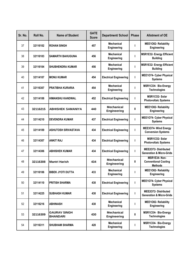| Sr. No. | Roll No. | <b>Name of Student</b>                 | <b>GATE</b><br><b>Score</b> | Department/ School                      | <b>Phase</b> | <b>Allotment of OE</b>                                            |
|---------|----------|----------------------------------------|-----------------------------|-----------------------------------------|--------------|-------------------------------------------------------------------|
| 37      | 32116102 | <b>ROHAN SINGH</b>                     | 457                         | <b>Mechanical</b><br>Engineering        | т            | MEE1O82- Reliability<br>Engineering                               |
| 38      | 32116103 | <b>ISAMARTH BAHUGUNA</b>               | 456                         | <b>Mechanical</b><br>Engineering        | T            | <b>MSR1E32- Energy Efficient</b><br><b>Building</b>               |
| 39      | 32116104 | <b>SHUBHENDRA KUMAR</b>                | 456                         | <b>Mechanical</b><br>Engineering        | т            | <b>MSR1E32- Energy Efficient</b><br><b>Building</b>               |
| 40      | 32114107 | <b>MONU KUMAR</b>                      | 454                         | <b>Electrical Engineering</b>           | т            | <b>MEE1O74- Cyber Physical</b><br><b>Systems</b>                  |
| 41      | 32116307 | <b>PRATIBHA KURARIA</b>                | 454                         | Mechanical<br>Engineering               | ı            | MSR1CO4- Bio-Energy<br><b>Technologies</b>                        |
| 42      | 32114108 | <b>HIMANSHU KANDWAL</b>                | 452                         | <b>Electrical Engineering</b>           | I            | MSR1CO2-Solar<br><b>Photovoltaic Systems</b>                      |
| 43      | 32116215 | <b>ABHISHEK SAMANIYA</b>               | 440                         | <b>Mechanical</b><br><b>Engineering</b> | Ш            | MEE1O82- Reliability<br>Engineering                               |
| 44      | 32114210 | <b>DEVENDRA KUMAR</b>                  | 437                         | <b>Electrical Engineering</b>           | I            | MEE1074- Cyber Physical<br><b>Systems</b>                         |
| 45      | 32114109 | <b>ASHUTOSH SRIVASTAVA</b>             | 434                         | <b>Electrical Engineering</b>           | I            | MEE3O74- Wind Energy<br><b>Conversion Systems</b>                 |
| 46      | 32114307 | <b>ANKIT RAJ</b>                       | 434                         | <b>Electrical Engineering</b>           | I            | MSR1CO2-Solar<br><b>Photovoltaic Systems</b>                      |
| 47      | 32114306 | <b>ABHISHEK KUMAR</b>                  | 434                         | <b>Electrical Engineering</b>           | I            | <b>MEE2O72-Distributed</b><br><b>Generation &amp; Micro-Grids</b> |
| 48      | 32116308 | <b>Mantri Harish</b>                   | 434                         | <b>Mechanical</b><br><b>Engineering</b> | Ш            | MSR1E34- Non-<br><b>Conventional Cooling</b><br><b>Methods</b>    |
| 49      | 32116106 | BIBEK JYOTI DUTTA                      | 433                         | <b>Mechanical</b><br>Engineering        |              | MEE1O82- Reliability<br>Engineering                               |
| 50      | 32114110 | <b>PRITISH SHARMA</b>                  | 430                         | <b>Electrical Engineering</b>           | I            | MEE1074- Cyber Physical<br><b>Systems</b>                         |
| 51      | 32114225 | <b>SUBHASH KUMAR</b>                   | 430                         | <b>Electrical Engineering</b>           | T            | <b>MEE2O72-Distributed</b><br><b>Generation &amp; Micro-Grids</b> |
| 52      | 32116216 | <b>ABHINASH</b>                        | 430                         | <b>Mechanical</b><br>Engineering        | I            | MEE1O82- Reliability<br>Engineering                               |
| 53      | 32116309 | <b>GAURAV SINGH</b><br><b>BHANDARI</b> | 430                         | <b>Mechanical</b><br><b>Engineering</b> | Ш            | MSR1CO4- Bio-Energy<br><b>Technologies</b>                        |
| 54      | 32116311 | <b>SHUBHAM SHARMA</b>                  | 428                         | <b>Mechanical</b><br>Engineering        | L            | MSR1CO4- Bio-Energy<br><b>Technologies</b>                        |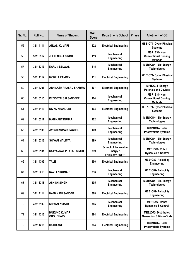| Sr. No. | Roll No. | <b>Name of Student</b>            | <b>GATE</b><br><b>Score</b> | <b>Department/ School</b>                                  | <b>Phase</b> | <b>Allotment of OE</b>                                            |
|---------|----------|-----------------------------------|-----------------------------|------------------------------------------------------------|--------------|-------------------------------------------------------------------|
| 55      | 32114111 | <b>ANJALI KUMARI</b>              | 422                         | <b>Electrical Engineering</b>                              | $\mathbf{I}$ | <b>MEE1074- Cyber Physical</b><br><b>Systems</b>                  |
| 56      | 32116312 | JEETENDRA SINGH                   | 419                         | <b>Mechanical</b><br>Engineering                           | L            | MSR1E34- Non-<br><b>Conventional Cooling</b><br><b>Methods</b>    |
| 57      | 32116313 | <b>KARUN BELWAL</b>               | 415                         | <b>Mechanical</b><br>Engineering                           | $\mathbf{I}$ | MSR1CO4- Bio-Energy<br><b>Technologies</b>                        |
| 58      | 32114112 | <b>MONIKA PANDEY</b>              | 411                         | <b>Electrical Engineering</b>                              | $\mathbf{I}$ | <b>MEE1O74- Cyber Physical</b><br><b>Systems</b>                  |
| 59      | 32114308 | <b>ABHILASH PRASAD SHARMA</b>     | 407                         | <b>Electrical Engineering</b>                              | $\mathbf{I}$ | MPH2O74- Energy<br><b>Materials and Devices</b>                   |
| 60      | 32116315 | <b>PYDISETTI SAI SANDEEP</b>      | 404                         | <b>Mechanical</b><br>Engineering                           | $\mathbf{I}$ | MSR1E34- Non-<br><b>Conventional Cooling</b><br><b>Methods</b>    |
| 61      | 32114113 | DIVYA KHANDURI                    | 404                         | <b>Electrical Engineering</b>                              | $\mathbf{I}$ | MEE1O74- Cyber Physical<br><b>Systems</b>                         |
| 62      | 32116217 | <b>MANIKANT KUMAR</b>             | 402                         | <b>Mechanical</b><br>Engineering                           | L            | MSR1CO4- Bio-Energy<br><b>Technologies</b>                        |
| 63      | 32116108 | <b>AVESH KUMAR BAGHEL</b>         | 400                         | <b>Mechanical</b><br>Engineering                           | I            | MSR1CO2-Solar<br><b>Photovoltaic Systems</b>                      |
| 64      | 32116316 | <b>SHIVAM MAURYA</b>              | 399                         | <b>Mechanical</b><br>Engineering                           | L            | MSR1CO4- Bio-Energy<br><b>Technologies</b>                        |
| 65      | 32119101 | SATYAVRAT PRATAP SINGH            | 399                         | <b>School of Renewable</b><br>Energy &<br>Efficiency(SREE) | $\mathbf{I}$ | MEE1072- Robot<br><b>Dynamics &amp; Control</b>                   |
| 66      | 32114309 | <b>TALIB</b>                      | 396                         | <b>Electrical Engineering</b>                              | $\mathbf{I}$ | <b>MEE1O82- Reliability</b><br>Engineering                        |
| 67      | 32116218 | <b>NAVEEN KUMAR</b>               | 396                         | <b>Mechanical</b><br>Engineering                           |              | MEE1O82- Reliability<br>Engineering                               |
| 68      | 32116318 | <b>ASHISH SINGH</b>               | 395                         | <b>Mechanical</b><br>Engineering                           | $\mathbf{I}$ | MSR1CO4- Bio-Energy<br><b>Technologies</b>                        |
| 69      | 32114114 | <b>NAMAN KU SANGER</b>            | 388                         | <b>Electrical Engineering</b>                              | $\mathbf{I}$ | MEE1O82- Reliability<br>Engineering                               |
| 70      | 32116109 | <b>SHIVAM KUMAR</b>               | 385                         | <b>Mechanical</b><br>Engineering                           | L            | MEE1072- Robot<br><b>Dynamics &amp; Control</b>                   |
| 71      | 32114216 | IMUKUND KUMAR<br><b>CHOUDHARY</b> | 384                         | <b>Electrical Engineering</b>                              | T            | <b>MEE2O72-Distributed</b><br><b>Generation &amp; Micro-Grids</b> |
| 72      | 32114215 | <b>MOHD ARIF</b>                  | 384                         | <b>Electrical Engineering</b>                              | J.           | MSR1CO2-Solar<br><b>Photovoltaic Systems</b>                      |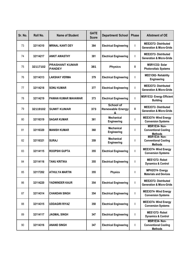| Sr. No. | Roll No. | <b>Name of Student</b>                 | <b>GATE</b><br><b>Score</b> | Department/ School                               | <b>Phase</b> | <b>Allotment of OE</b>                                             |
|---------|----------|----------------------------------------|-----------------------------|--------------------------------------------------|--------------|--------------------------------------------------------------------|
| 73      | 32114310 | <b>MRINAL KANTI DEY</b>                | 384                         | <b>Electrical Engineering</b>                    | $\mathbf{I}$ | <b>MEE2O72-Distributed</b><br><b>Generation &amp; Micro-Grids</b>  |
| 74      | 32114217 | <b>ANKIT AWASTHY</b>                   | 381                         | <b>Electrical Engineering</b>                    | $\mathbf{I}$ | <b>MEE2O72- Distributed</b><br><b>Generation &amp; Micro-Grids</b> |
| 75      | 32117102 | <b>PRASHANT KUMAR</b><br><b>PANDEY</b> | 381                         | <b>Physics</b>                                   | Ш            | MSR1CO2-Solar<br><b>Photovoltaic Systems</b>                       |
| 76      | 32114313 | <b>LAKSHAY VERMA</b>                   | 379                         | <b>Electrical Engineering</b>                    | $\mathbf{I}$ | MEE1O82- Reliability<br>Engineering                                |
| 77      | 32114218 | <b>SONU KUMAR</b>                      | 377                         | <b>Electrical Engineering</b>                    | $\mathbf{I}$ | <b>MEE2O72- Distributed</b><br><b>Generation &amp; Micro-Grids</b> |
| 78      | 32114219 | <b>PAWAN KUMAR MAHAWAR</b>             | 373                         | <b>Electrical Engineering</b>                    | $\mathbf{I}$ | <b>MSR1E32- Energy Efficient</b><br><b>Building</b>                |
| 79      | 32119102 | <b>SUMIT KUMAR</b>                     | 373                         | <b>School of</b><br><b>Renewable Energy</b><br>ጼ | $\mathbf{I}$ | <b>MEE2O72-Distributed</b><br><b>Generation &amp; Micro-Grids</b>  |
| 80      | 32116319 | <b>SAGAR KUMAR</b>                     | 361                         | <b>Mechanical</b><br>Engineering                 | L            | MEE3O74- Wind Energy<br><b>Conversion Systems</b>                  |
| 81      | 32116320 | <b>MANISH KUMAR</b>                    | 360                         | <b>Mechanical</b><br>Engineering                 | $\mathbf{I}$ | MSR1E34- Non-<br><b>Conventional Cooling</b><br><b>Methods</b>     |
| 82      | 32116321 | <b>SURAJ</b>                           | 359                         | <b>Mechanical</b><br>Engineering                 | $\mathbf{I}$ | MSR1E34- Non-<br><b>Conventional Cooling</b><br><b>Methods</b>     |
| 83      | 32114115 | <b>ROOPSHI GUPTA</b>                   | 355                         | <b>Electrical Engineering</b>                    | T            | MEE3O74- Wind Energy<br><b>Conversion Systems</b>                  |
| 84      | 32114116 | TANU KRITIKA                           | 355                         | <b>Electrical Engineering</b>                    | $\mathbf{I}$ | MEE1072- Robot<br><b>Dynamics &amp; Control</b>                    |
| 85      | 32117202 | ATHULYA MARTIN                         | 355                         | <b>Physics</b>                                   |              | MPH2O74- Energy<br><b>Materials and Devices</b>                    |
| 86      | 32114220 | YADWINDER KAUR                         | 354                         | <b>Electrical Engineering</b>                    | T            | <b>MEE2O72- Distributed</b><br><b>Generation &amp; Micro-Grids</b> |
| 87      | 32114314 | <b>CHANDAN SINGH</b>                   | 354                         | <b>Electrical Engineering</b>                    | T            | MEE3O74- Wind Energy<br><b>Conversion Systems</b>                  |
| 88      | 32114315 | <b>UDDAGIRI RIYAZ</b>                  | 350                         | <b>Electrical Engineering</b>                    | T            | MEE3O74- Wind Energy<br><b>Conversion Systems</b>                  |
| 89      | 32114117 | JAGMAL SINGH                           | 347                         | <b>Electrical Engineering</b>                    | I.           | MEE1072- Robot<br><b>Dynamics &amp; Control</b>                    |
| 90      | 32114316 | <b>ANAND SINGH</b>                     | 347                         | <b>Electrical Engineering</b>                    | J.           | MSR1E34- Non-<br><b>Conventional Cooling</b><br><b>Methods</b>     |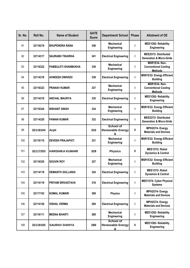| Sr. No. | Roll No. | <b>Name of Student</b>   | <b>GATE</b><br><b>Score</b> | <b>Department/ School</b>                                   | <b>Phase</b> | <b>Allotment of OE</b>                                            |
|---------|----------|--------------------------|-----------------------------|-------------------------------------------------------------|--------------|-------------------------------------------------------------------|
| 91      | 32116219 | <b>BHUPENDRA RANA</b>    | 346                         | <b>Mechanical</b><br>Engineering                            | т            | MEE1O82- Reliability<br>Engineering                               |
| 92      | 32114317 | <b>SAURABH TIKARIHA</b>  | 341                         | <b>Electrical Engineering</b>                               | ı            | <b>MEE2O72-Distributed</b><br><b>Generation &amp; Micro-Grids</b> |
| 93      | 32116322 | PABBULETI SHANMUKHA      | 339                         | <b>Mechanical</b><br>Engineering                            | L            | MSR1E34- Non-<br><b>Conventional Cooling</b><br><b>Methods</b>    |
| 94      | 32114318 | <b>AVNEESH DWIVEDI</b>   | 339                         | <b>Electrical Engineering</b>                               | т            | <b>MSR1E32- Energy Efficient</b><br><b>Building</b>               |
| 95      | 32116323 | <b>PRANAV KUMAR</b>      | 337                         | <b>Mechanical</b><br>Engineering                            | т            | MSR1E34- Non-<br><b>Conventional Cooling</b><br><b>Methods</b>    |
| 96      | 32114319 | <b>ANCHAL MAURYA</b>     | 335                         | <b>Electrical Engineering</b>                               | т            | MEE1O82- Reliability<br>Engineering                               |
| 97      | 32116324 | <b>NISHANT SINGH</b>     | 334                         | <b>Mechanical</b><br>Engineering                            | I            | <b>MSR1E32- Energy Efficient</b><br><b>Building</b>               |
| 98      | 32114320 | <b>PAWAN KUMAR</b>       | 332                         | <b>Electrical Engineering</b>                               | т            | <b>MEE2O72-Distributed</b><br><b>Generation &amp; Micro-Grids</b> |
| 99      | 32119104 | <b>Arpit</b>             | 332                         | School of<br><b>Renewable Energy</b><br>&                   | Ш            | MPH2O74- Energy<br><b>Materials and Devices</b>                   |
| 100     | 32116110 | <b>DEVESH PRAJAPATI</b>  | 331                         | <b>Mechanical</b><br>Engineering                            | I            | <b>MSR1E32- Energy Efficient</b><br><b>Building</b>               |
| 101     | 32117203 | <b>HARSHIKA KUMARI</b>   | 328                         | <b>Physics</b>                                              | Ш            | MEE1072- Robot<br><b>Dynamics &amp; Control</b>                   |
| 102     | 32116325 | <b>SOUVIK ROY</b>        | 327                         | <b>Mechanical</b><br>Engineering                            | ı            | <b>MSR1E32- Energy Efficient</b><br><b>Building</b>               |
| 103     | 32114118 | <b>HEMANTH GOLLANGI</b>  | 324                         | <b>Electrical Engineering</b>                               |              | MEE1072- Robot<br><b>Dynamics &amp; Control</b>                   |
| 104     | 32114119 | <b>PRIYAM SRIVASTAVA</b> | 318                         | <b>Electrical Engineering</b>                               | I            | <b>MEE1O74- Cyber Physical</b><br><b>Systems</b>                  |
| 105     | 32117103 | KOMAL KUMARI             | 309                         | <b>Physics</b>                                              | L            | MPH2O74- Energy<br><b>Materials and Devices</b>                   |
| 106     | 32114120 | <b>VISHAL VERMA</b>      | 294                         | <b>Electrical Engineering</b>                               | т            | MPH2O74- Energy<br><b>Materials and Devices</b>                   |
| 107     | 32116111 | <b>MEENA BHARTI</b>      | 289                         | <b>Mechanical</b><br>Engineering                            | L            | MEE1O82- Reliability<br>Engineering                               |
| 108     | 32119105 | <b>SAURAV DAHIYA</b>     | 286                         | <b>School of</b><br><b>Renewable Energy</b><br><u>&amp;</u> | Ш            | MEE1O82- Reliability<br>Engineering                               |